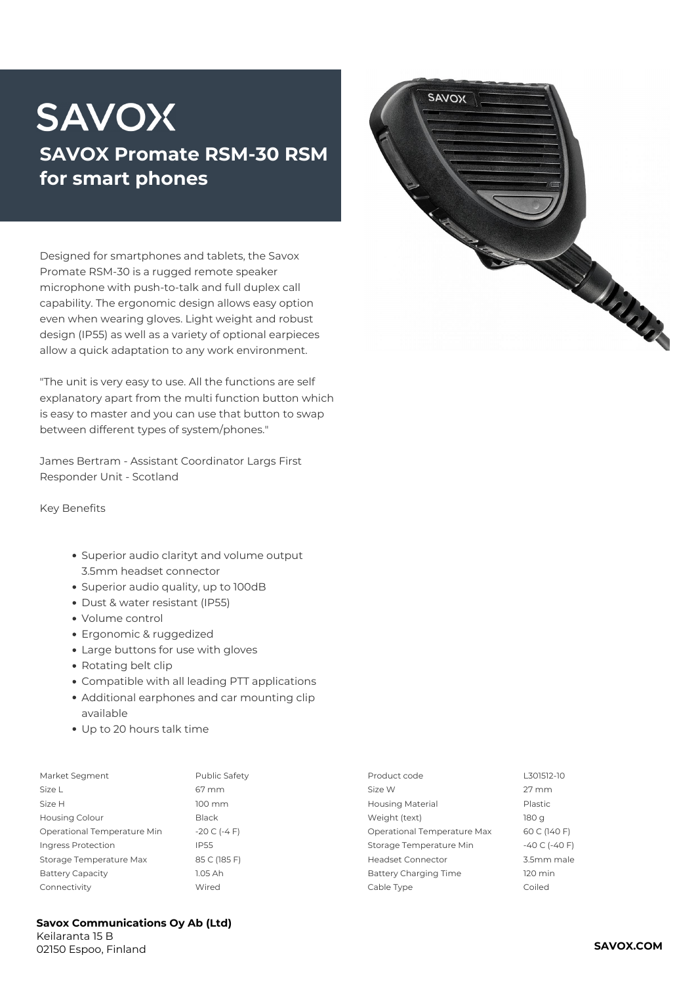## **SAVOX SAVOX Promate RSM-30 RSM for smart phones**

Designed for smartphones and tablets, the Savox Promate RSM-30 is a rugged remote speaker microphone with push-to-talk and full duplex call capability. The ergonomic design allows easy option even when wearing gloves. Light weight and robust design (IP55) as well as a variety of optional earpieces allow a quick adaptation to any work environment.

*"The unit is very easy to use. All the functions are self explanatory apart from the multi function button which is easy to master and you can use that button to swap between different types of system/phones."*

James Bertram - Assistant Coordinator Largs First Responder Unit - Scotland

**Key Benefits**

- Superior audio clarityt and volume output 3.5mm headset connector
- Superior audio quality, up to 100dB
- Dust & water resistant (IP55)
- Volume control
- Ergonomic & ruggedized
- Large buttons for use with gloves
- Rotating belt clip
- Compatible with all leading PTT applications
- Additional earphones and car mounting clip available
- Up to 20 hours talk time

| Market Segment              | Public Safety        | Product code                | L301512-10          |
|-----------------------------|----------------------|-----------------------------|---------------------|
| Size L                      | 67 mm                | Size W                      | $27 \, \mathrm{mm}$ |
| Size H                      | $100 \, \mathrm{mm}$ | <b>Housing Material</b>     | Plastic             |
| <b>Housing Colour</b>       | Black                | Weight (text)               | 180 g               |
| Operational Temperature Min | $-20 C (-4 F)$       | Operational Temperature Max | 60 C (140 F)        |
| Ingress Protection          | <b>IP55</b>          | Storage Temperature Min     | $-40$ C ( $-40$ F)  |
| Storage Temperature Max     | 85 C (185 F)         | <b>Headset Connector</b>    | 3.5mm male          |
| <b>Battery Capacity</b>     | 1.05 Ah              | Battery Charging Time       | $120 \text{ min}$   |
| Connectivity                | Wired                | Cable Type                  | Coiled              |
|                             |                      |                             |                     |



**Savox Communications Oy Ab (Ltd)** Keilaranta 15 B

02150 Espoo, Finland **SAVOX.COM**